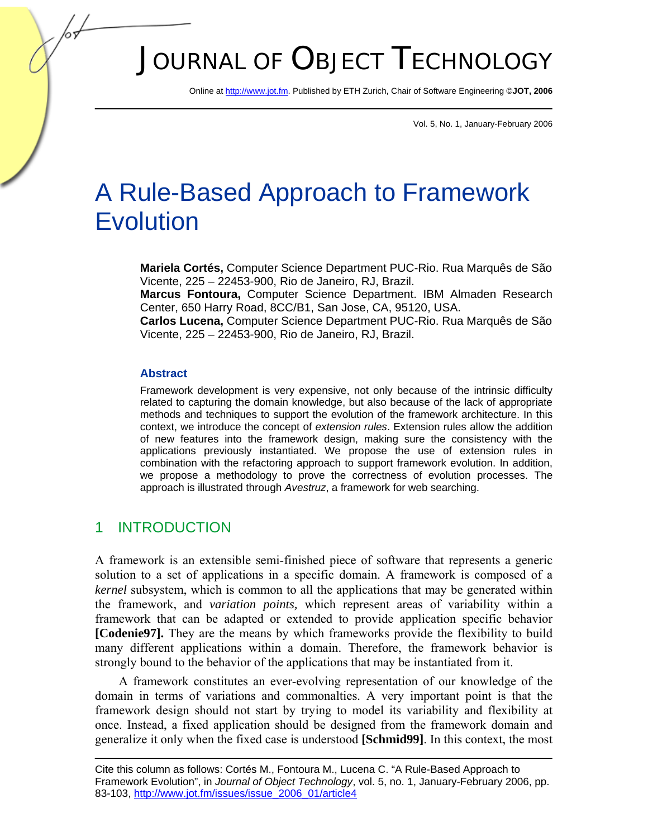# JOURNAL OF OBJECT TECHNOLOGY

Online [at http://www.jot.fm. P](http://www.jot.fm)ublished by ETH Zurich, Chair of Software Engineering ©**JOT, 2006** 

Vol. 5, No. 1, January-February 2006

## A Rule-Based Approach to Framework Evolution

**Mariela Cortés,** Computer Science Department PUC-Rio. Rua Marquês de São Vicente, 225 – 22453-900, Rio de Janeiro, RJ, Brazil.

**Marcus Fontoura,** Computer Science Department. IBM Almaden Research Center, 650 Harry Road, 8CC/B1, San Jose, CA, 95120, USA.

**Carlos Lucena,** Computer Science Department PUC-Rio. Rua Marquês de São Vicente, 225 – 22453-900, Rio de Janeiro, RJ, Brazil.

#### **Abstract**

Framework development is very expensive, not only because of the intrinsic difficulty related to capturing the domain knowledge, but also because of the lack of appropriate methods and techniques to support the evolution of the framework architecture. In this context, we introduce the concept of *extension rules*. Extension rules allow the addition of new features into the framework design, making sure the consistency with the applications previously instantiated. We propose the use of extension rules in combination with the refactoring approach to support framework evolution. In addition, we propose a methodology to prove the correctness of evolution processes. The approach is illustrated through *Avestruz*, a framework for web searching.

#### 1 INTRODUCTION

A framework is an extensible semi-finished piece of software that represents a generic solution to a set of applications in a specific domain. A framework is composed of a *kernel* subsystem, which is common to all the applications that may be generated within the framework, and *variation points,* which represent areas of variability within a framework that can be adapted or extended to provide application specific behavior **[Codenie97].** They are the means by which frameworks provide the flexibility to build many different applications within a domain. Therefore, the framework behavior is strongly bound to the behavior of the applications that may be instantiated from it.

A framework constitutes an ever-evolving representation of our knowledge of the domain in terms of variations and commonalties. A very important point is that the framework design should not start by trying to model its variability and flexibility at once. Instead, a fixed application should be designed from the framework domain and generalize it only when the fixed case is understood **[Schmid99]**. In this context, the most

Cite this column as follows: Cortés M., Fontoura M., Lucena C. "A Rule-Based Approach to Framework Evolution", in *Journal of Object Technology*, vol. 5, no. 1, January-February 2006, pp. 83-10[3, http://www.jot.fm/issues/issue\\_2006\\_01/article4](http://www.jot.fm/issues/issue_2006_01/article4)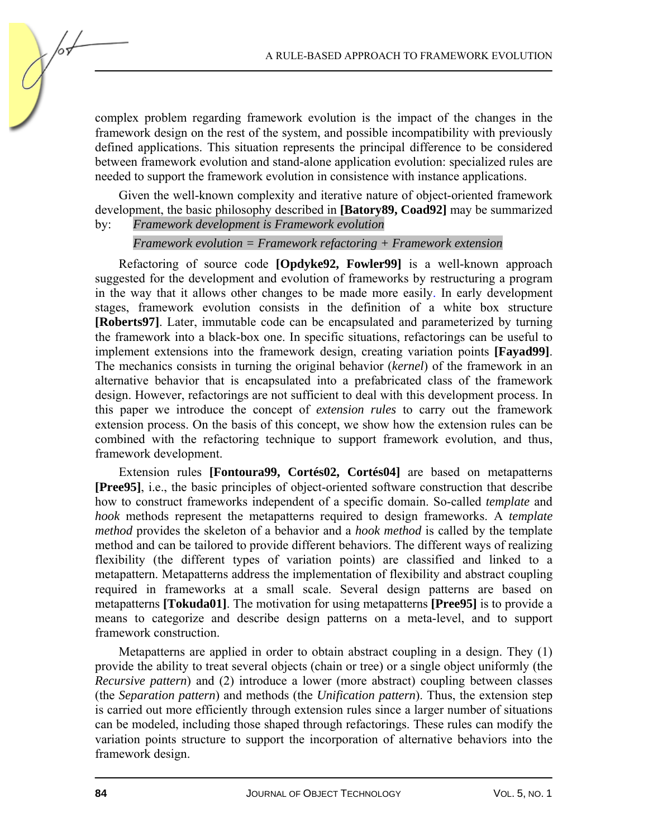complex problem regarding framework evolution is the impact of the changes in the framework design on the rest of the system, and possible incompatibility with previously defined applications. This situation represents the principal difference to be considered between framework evolution and stand-alone application evolution: specialized rules are needed to support the framework evolution in consistence with instance applications.

Given the well-known complexity and iterative nature of object-oriented framework development, the basic philosophy described in **[Batory89, Coad92]** may be summarized by: *Framework development is Framework evolution* 

#### *Framework evolution = Framework refactoring + Framework extension*

Refactoring of source code **[Opdyke92, Fowler99]** is a well-known approach suggested for the development and evolution of frameworks by restructuring a program in the way that it allows other changes to be made more easily. In early development stages, framework evolution consists in the definition of a white box structure **[Roberts97]**. Later, immutable code can be encapsulated and parameterized by turning the framework into a black-box one. In specific situations, refactorings can be useful to implement extensions into the framework design, creating variation points **[Fayad99]**. The mechanics consists in turning the original behavior (*kernel*) of the framework in an alternative behavior that is encapsulated into a prefabricated class of the framework design. However, refactorings are not sufficient to deal with this development process. In this paper we introduce the concept of *extension rules* to carry out the framework extension process. On the basis of this concept, we show how the extension rules can be combined with the refactoring technique to support framework evolution, and thus, framework development.

Extension rules **[Fontoura99, Cortés02, Cortés04]** are based on metapatterns **[Pree95]**, i.e., the basic principles of object-oriented software construction that describe how to construct frameworks independent of a specific domain. So-called *template* and *hook* methods represent the metapatterns required to design frameworks. A *template method* provides the skeleton of a behavior and a *hook method* is called by the template method and can be tailored to provide different behaviors. The different ways of realizing flexibility (the different types of variation points) are classified and linked to a metapattern. Metapatterns address the implementation of flexibility and abstract coupling required in frameworks at a small scale. Several design patterns are based on metapatterns **[Tokuda01]**. The motivation for using metapatterns **[Pree95]** is to provide a means to categorize and describe design patterns on a meta-level, and to support framework construction.

Metapatterns are applied in order to obtain abstract coupling in a design. They (1) provide the ability to treat several objects (chain or tree) or a single object uniformly (the *Recursive pattern*) and (2) introduce a lower (more abstract) coupling between classes (the *Separation pattern*) and methods (the *Unification pattern*). Thus, the extension step is carried out more efficiently through extension rules since a larger number of situations can be modeled, including those shaped through refactorings. These rules can modify the variation points structure to support the incorporation of alternative behaviors into the framework design.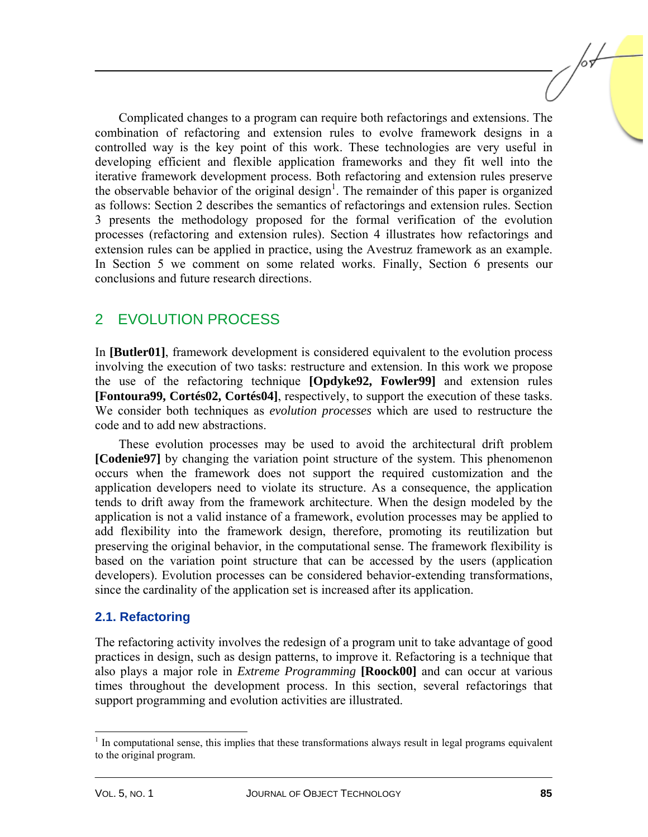Complicated changes to a program can require both refactorings and extensions. The combination of refactoring and extension rules to evolve framework designs in a controlled way is the key point of this work. These technologies are very useful in developing efficient and flexible application frameworks and they fit well into the iterative framework development process. Both refactoring and extension rules preserve the observable behavior of the original design<sup>1</sup>. The remainder of this paper is organized as follows: Section 2 describes the semantics of refactorings and extension rules. Section 3 presents the methodology proposed for the formal verification of the evolution processes (refactoring and extension rules). Section 4 illustrates how refactorings and extension rules can be applied in practice, using the Avestruz framework as an example. In Section 5 we comment on some related works. Finally, Section 6 presents our conclusions and future research directions.

## 2 EVOLUTION PROCESS

In **[Butler01]**, framework development is considered equivalent to the evolution process involving the execution of two tasks: restructure and extension. In this work we propose the use of the refactoring technique **[Opdyke92, Fowler99]** and extension rules **[Fontoura99, Cortés02, Cortés04]**, respectively, to support the execution of these tasks. We consider both techniques as *evolution processes* which are used to restructure the code and to add new abstractions.

These evolution processes may be used to avoid the architectural drift problem **[Codenie97]** by changing the variation point structure of the system. This phenomenon occurs when the framework does not support the required customization and the application developers need to violate its structure. As a consequence, the application tends to drift away from the framework architecture. When the design modeled by the application is not a valid instance of a framework, evolution processes may be applied to add flexibility into the framework design, therefore, promoting its reutilization but preserving the original behavior, in the computational sense. The framework flexibility is based on the variation point structure that can be accessed by the users (application developers). Evolution processes can be considered behavior-extending transformations, since the cardinality of the application set is increased after its application.

#### **2.1. Refactoring**

The refactoring activity involves the redesign of a program unit to take advantage of good practices in design, such as design patterns, to improve it. Refactoring is a technique that also plays a major role in *Extreme Programming* **[Roock00]** and can occur at various times throughout the development process. In this section, several refactorings that support programming and evolution activities are illustrated.

l

<sup>&</sup>lt;sup>1</sup> In computational sense, this implies that these transformations always result in legal programs equivalent to the original program.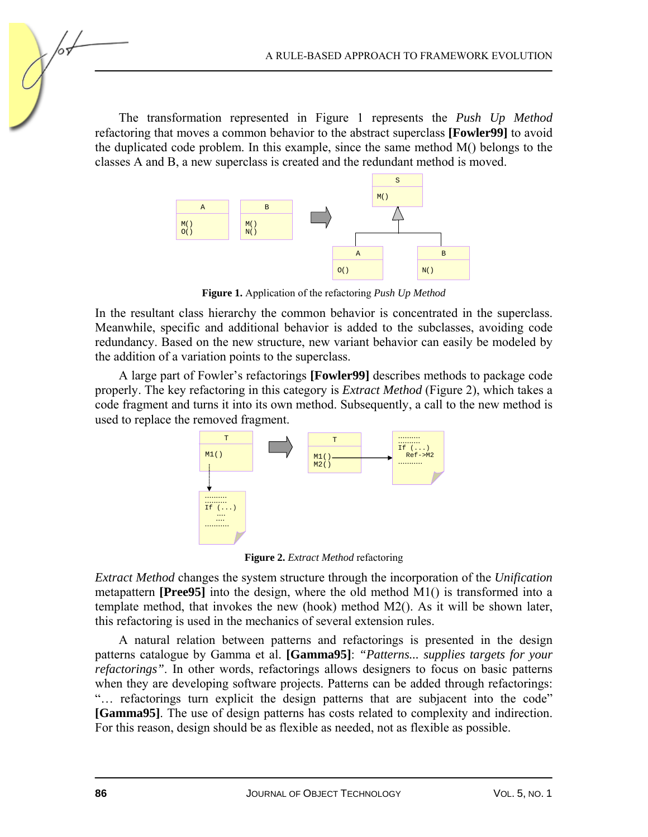The transformation represented in Figure 1 represents the *Push Up Method* refactoring that moves a common behavior to the abstract superclass **[Fowler99]** to avoid the duplicated code problem. In this example, since the same method M() belongs to the classes A and B, a new superclass is created and the redundant method is moved.



**Figure 1.** Application of the refactoring *Push Up Method*

In the resultant class hierarchy the common behavior is concentrated in the superclass. Meanwhile, specific and additional behavior is added to the subclasses, avoiding code redundancy. Based on the new structure, new variant behavior can easily be modeled by the addition of a variation points to the superclass.

A large part of Fowler's refactorings **[Fowler99]** describes methods to package code properly. The key refactoring in this category is *Extract Method* (Figure 2), which takes a code fragment and turns it into its own method. Subsequently, a call to the new method is used to replace the removed fragment.



**Figure 2.** *Extract Method* refactoring

*Extract Method* changes the system structure through the incorporation of the *Unification* metapattern **[Pree95]** into the design, where the old method M1() is transformed into a template method, that invokes the new (hook) method M2(). As it will be shown later, this refactoring is used in the mechanics of several extension rules.

A natural relation between patterns and refactorings is presented in the design patterns catalogue by Gamma et al. **[Gamma95]**: *"Patterns... supplies targets for your refactorings"*. In other words, refactorings allows designers to focus on basic patterns when they are developing software projects. Patterns can be added through refactorings: "… refactorings turn explicit the design patterns that are subjacent into the code" **[Gamma95]**. The use of design patterns has costs related to complexity and indirection. For this reason, design should be as flexible as needed, not as flexible as possible.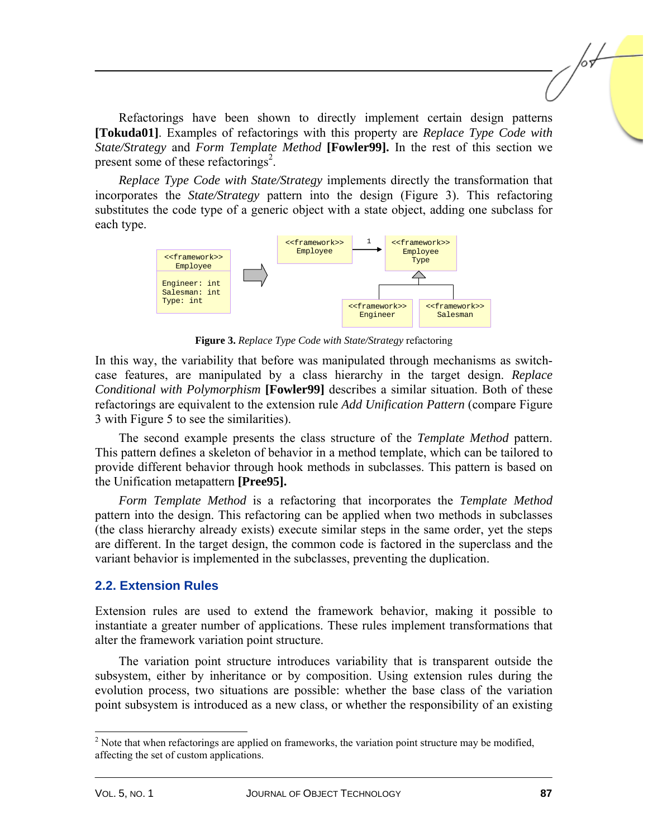Refactorings have been shown to directly implement certain design patterns **[Tokuda01]**. Examples of refactorings with this property are *Replace Type Code with State/Strategy* and *Form Template Method* **[Fowler99].** In the rest of this section we present some of these refactorings<sup>2</sup>.

*Replace Type Code with State/Strategy* implements directly the transformation that incorporates the *State/Strategy* pattern into the design (Figure 3). This refactoring substitutes the code type of a generic object with a state object, adding one subclass for each type.



**Figure 3.** *Replace Type Code with State/Strategy* refactoring

In this way, the variability that before was manipulated through mechanisms as switchcase features, are manipulated by a class hierarchy in the target design. *Replace Conditional with Polymorphism* **[Fowler99]** describes a similar situation. Both of these refactorings are equivalent to the extension rule *Add Unification Pattern* (compare Figure 3 with Figure 5 to see the similarities).

The second example presents the class structure of the *Template Method* pattern. This pattern defines a skeleton of behavior in a method template, which can be tailored to provide different behavior through hook methods in subclasses. This pattern is based on the Unification metapattern **[Pree95].**

*Form Template Method* is a refactoring that incorporates the *Template Method* pattern into the design. This refactoring can be applied when two methods in subclasses (the class hierarchy already exists) execute similar steps in the same order, yet the steps are different. In the target design, the common code is factored in the superclass and the variant behavior is implemented in the subclasses, preventing the duplication.

#### **2.2. Extension Rules**

Extension rules are used to extend the framework behavior, making it possible to instantiate a greater number of applications. These rules implement transformations that alter the framework variation point structure.

The variation point structure introduces variability that is transparent outside the subsystem, either by inheritance or by composition. Using extension rules during the evolution process, two situations are possible: whether the base class of the variation point subsystem is introduced as a new class, or whether the responsibility of an existing

l

 $2^2$  Note that when refactorings are applied on frameworks, the variation point structure may be modified, affecting the set of custom applications.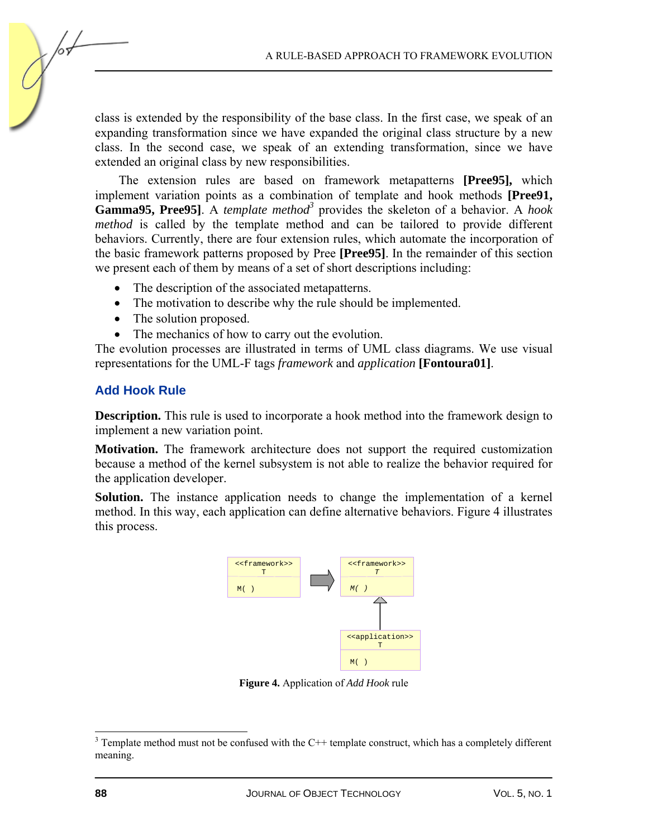class is extended by the responsibility of the base class. In the first case, we speak of an expanding transformation since we have expanded the original class structure by a new class. In the second case, we speak of an extending transformation, since we have extended an original class by new responsibilities.

The extension rules are based on framework metapatterns **[Pree95],** which implement variation points as a combination of template and hook methods **[Pree91,**  Gamma95, Pree95]. A *template method*<sup>3</sup> provides the skeleton of a behavior. A *hook method* is called by the template method and can be tailored to provide different behaviors. Currently, there are four extension rules, which automate the incorporation of the basic framework patterns proposed by Pree **[Pree95]**. In the remainder of this section we present each of them by means of a set of short descriptions including:

- The description of the associated metapatterns.
- The motivation to describe why the rule should be implemented.
- The solution proposed.
- The mechanics of how to carry out the evolution.

The evolution processes are illustrated in terms of UML class diagrams. We use visual representations for the UML-F tags *framework* and *application* **[Fontoura01]**.

#### **Add Hook Rule**

**Description.** This rule is used to incorporate a hook method into the framework design to implement a new variation point.

**Motivation.** The framework architecture does not support the required customization because a method of the kernel subsystem is not able to realize the behavior required for the application developer.

**Solution.** The instance application needs to change the implementation of a kernel method. In this way, each application can define alternative behaviors. Figure 4 illustrates this process.



**Figure 4.** Application of *Add Hook* rule

<sup>&</sup>lt;sup>3</sup> Template method must not be confused with the C++ template construct, which has a completely different meaning.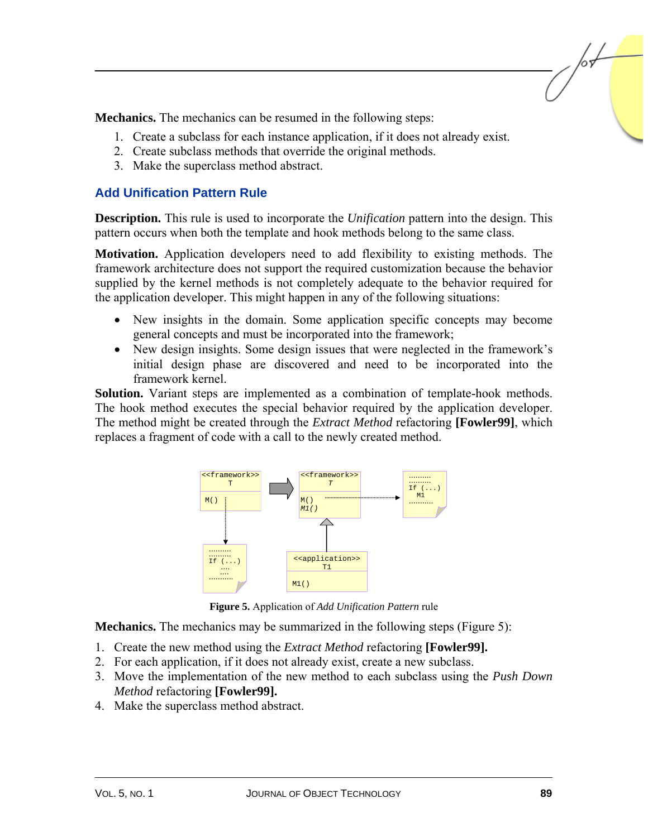**Mechanics.** The mechanics can be resumed in the following steps:

- 1. Create a subclass for each instance application, if it does not already exist.
- 2. Create subclass methods that override the original methods.
- 3. Make the superclass method abstract.

#### **Add Unification Pattern Rule**

**Description.** This rule is used to incorporate the *Unification* pattern into the design. This pattern occurs when both the template and hook methods belong to the same class.

**Motivation.** Application developers need to add flexibility to existing methods. The framework architecture does not support the required customization because the behavior supplied by the kernel methods is not completely adequate to the behavior required for the application developer. This might happen in any of the following situations:

- New insights in the domain. Some application specific concepts may become general concepts and must be incorporated into the framework;
- New design insights. Some design issues that were neglected in the framework's initial design phase are discovered and need to be incorporated into the framework kernel.

**Solution.** Variant steps are implemented as a combination of template-hook methods. The hook method executes the special behavior required by the application developer. The method might be created through the *Extract Method* refactoring **[Fowler99]**, which replaces a fragment of code with a call to the newly created method.



**Figure 5.** Application of *Add Unification Pattern* rule

**Mechanics.** The mechanics may be summarized in the following steps (Figure 5):

- 1. Create the new method using the *Extract Method* refactoring **[Fowler99].**
- 2. For each application, if it does not already exist, create a new subclass.
- 3. Move the implementation of the new method to each subclass using the *Push Down Method* refactoring **[Fowler99].**
- 4. Make the superclass method abstract.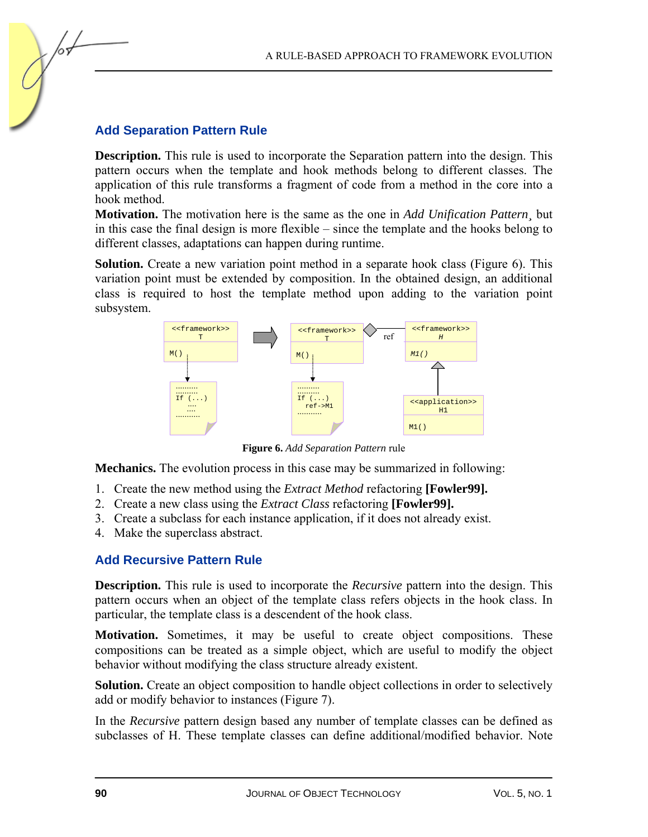#### **Add Separation Pattern Rule**

**Description.** This rule is used to incorporate the Separation pattern into the design. This pattern occurs when the template and hook methods belong to different classes. The application of this rule transforms a fragment of code from a method in the core into a hook method.

**Motivation.** The motivation here is the same as the one in *Add Unification Pattern¸* but in this case the final design is more flexible – since the template and the hooks belong to different classes, adaptations can happen during runtime.

**Solution.** Create a new variation point method in a separate hook class (Figure 6). This variation point must be extended by composition. In the obtained design, an additional class is required to host the template method upon adding to the variation point subsystem.



**Figure 6.** *Add Separation Pattern* rule

**Mechanics.** The evolution process in this case may be summarized in following:

- 1. Create the new method using the *Extract Method* refactoring **[Fowler99].**
- 2. Create a new class using the *Extract Class* refactoring **[Fowler99].**
- 3. Create a subclass for each instance application, if it does not already exist.
- 4. Make the superclass abstract.

#### **Add Recursive Pattern Rule**

**Description.** This rule is used to incorporate the *Recursive* pattern into the design. This pattern occurs when an object of the template class refers objects in the hook class. In particular, the template class is a descendent of the hook class.

**Motivation.** Sometimes, it may be useful to create object compositions. These compositions can be treated as a simple object, which are useful to modify the object behavior without modifying the class structure already existent.

**Solution.** Create an object composition to handle object collections in order to selectively add or modify behavior to instances (Figure 7).

In the *Recursive* pattern design based any number of template classes can be defined as subclasses of H. These template classes can define additional/modified behavior. Note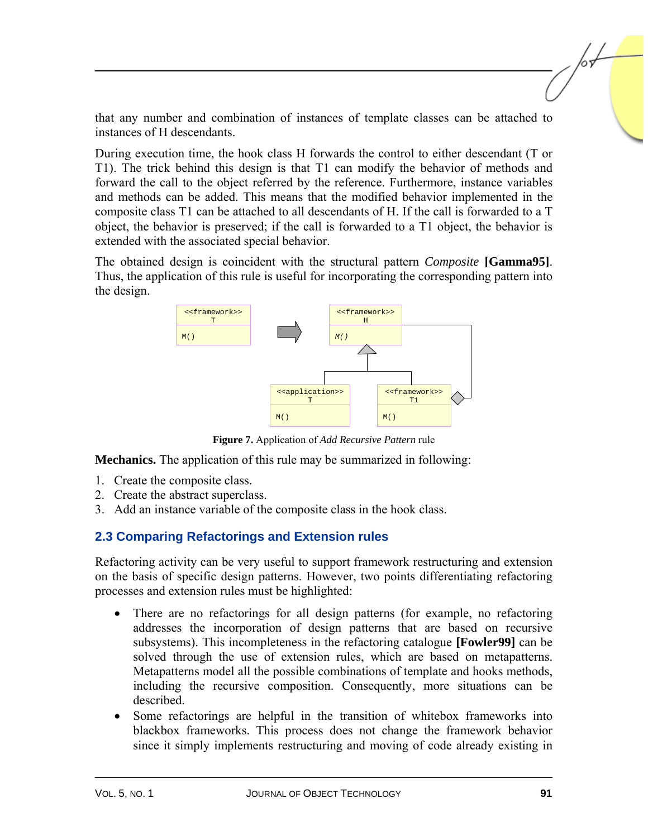that any number and combination of instances of template classes can be attached to instances of H descendants.

During execution time, the hook class H forwards the control to either descendant (T or T1). The trick behind this design is that T1 can modify the behavior of methods and forward the call to the object referred by the reference. Furthermore, instance variables and methods can be added. This means that the modified behavior implemented in the composite class T1 can be attached to all descendants of H. If the call is forwarded to a T object, the behavior is preserved; if the call is forwarded to a T1 object, the behavior is extended with the associated special behavior.

The obtained design is coincident with the structural pattern *Composite* **[Gamma95]**. Thus, the application of this rule is useful for incorporating the corresponding pattern into the design.



**Figure 7.** Application of *Add Recursive Pattern* rule

**Mechanics.** The application of this rule may be summarized in following:

- 1. Create the composite class.
- 2. Create the abstract superclass.
- 3. Add an instance variable of the composite class in the hook class.

#### **2.3 Comparing Refactorings and Extension rules**

Refactoring activity can be very useful to support framework restructuring and extension on the basis of specific design patterns. However, two points differentiating refactoring processes and extension rules must be highlighted:

- There are no refactorings for all design patterns (for example, no refactoring addresses the incorporation of design patterns that are based on recursive subsystems). This incompleteness in the refactoring catalogue **[Fowler99]** can be solved through the use of extension rules, which are based on metapatterns. Metapatterns model all the possible combinations of template and hooks methods, including the recursive composition. Consequently, more situations can be described.
- Some refactorings are helpful in the transition of whitebox frameworks into blackbox frameworks. This process does not change the framework behavior since it simply implements restructuring and moving of code already existing in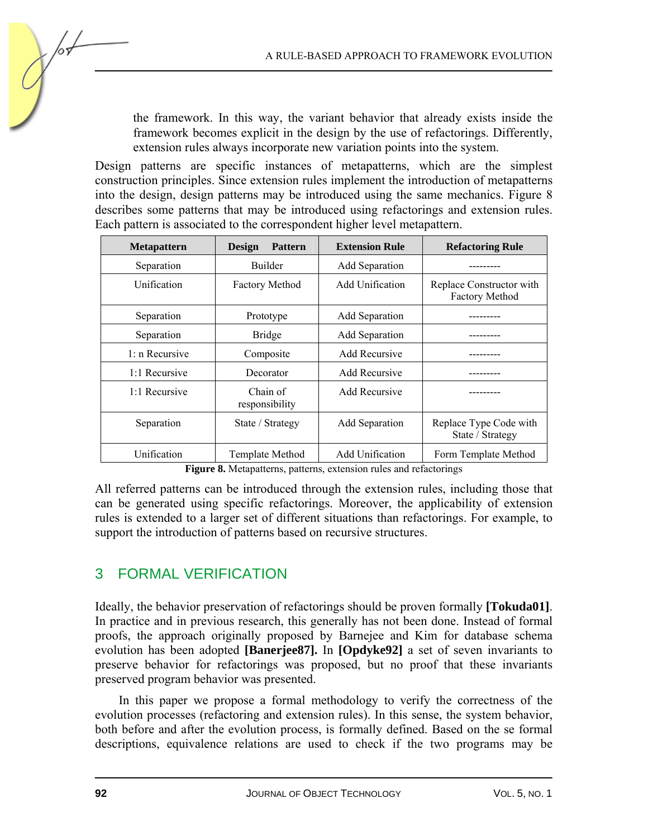the framework. In this way, the variant behavior that already exists inside the framework becomes explicit in the design by the use of refactorings. Differently, extension rules always incorporate new variation points into the system.

Design patterns are specific instances of metapatterns, which are the simplest construction principles. Since extension rules implement the introduction of metapatterns into the design, design patterns may be introduced using the same mechanics. Figure 8 describes some patterns that may be introduced using refactorings and extension rules. Each pattern is associated to the correspondent higher level metapattern.

| <b>Metapattern</b> | Design<br><b>Pattern</b>   | <b>Extension Rule</b>  | <b>Refactoring Rule</b>                           |
|--------------------|----------------------------|------------------------|---------------------------------------------------|
| Separation         | <b>Builder</b>             | Add Separation         |                                                   |
| Unification        | <b>Factory Method</b>      | Add Unification        | Replace Constructor with<br><b>Factory Method</b> |
| Separation         | Prototype                  | Add Separation         |                                                   |
| Separation         | <b>Bridge</b>              | Add Separation         |                                                   |
| $1: n$ Recursive   | Composite                  | Add Recursive          |                                                   |
| 1:1 Recursive      | Decorator                  | Add Recursive          |                                                   |
| 1:1 Recursive      | Chain of<br>responsibility | Add Recursive          |                                                   |
| Separation         | State / Strategy           | <b>Add Separation</b>  | Replace Type Code with<br>State / Strategy        |
| Unification        | Template Method            | <b>Add Unification</b> | Form Template Method                              |

**Figure 8.** Metapatterns, patterns, extension rules and refactorings

All referred patterns can be introduced through the extension rules, including those that can be generated using specific refactorings. Moreover, the applicability of extension rules is extended to a larger set of different situations than refactorings. For example, to support the introduction of patterns based on recursive structures.

## 3 FORMAL VERIFICATION

Ideally, the behavior preservation of refactorings should be proven formally **[Tokuda01]**. In practice and in previous research, this generally has not been done. Instead of formal proofs, the approach originally proposed by Barnejee and Kim for database schema evolution has been adopted **[Banerjee87].** In **[Opdyke92]** a set of seven invariants to preserve behavior for refactorings was proposed, but no proof that these invariants preserved program behavior was presented.

In this paper we propose a formal methodology to verify the correctness of the evolution processes (refactoring and extension rules). In this sense, the system behavior, both before and after the evolution process, is formally defined. Based on the se formal descriptions, equivalence relations are used to check if the two programs may be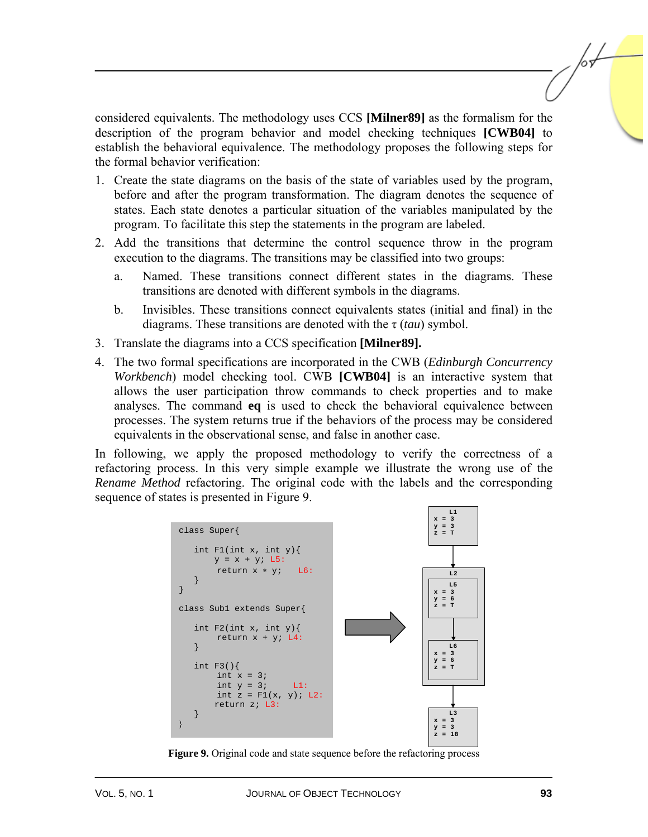considered equivalents. The methodology uses CCS **[Milner89]** as the formalism for the description of the program behavior and model checking techniques **[CWB04]** to establish the behavioral equivalence. The methodology proposes the following steps for the formal behavior verification:

- 1. Create the state diagrams on the basis of the state of variables used by the program, before and after the program transformation. The diagram denotes the sequence of states. Each state denotes a particular situation of the variables manipulated by the program. To facilitate this step the statements in the program are labeled.
- 2. Add the transitions that determine the control sequence throw in the program execution to the diagrams. The transitions may be classified into two groups:
	- a. Named. These transitions connect different states in the diagrams. These transitions are denoted with different symbols in the diagrams.
	- b. Invisibles. These transitions connect equivalents states (initial and final) in the diagrams. These transitions are denoted with the τ (*tau*) symbol.
- 3. Translate the diagrams into a CCS specification **[Milner89].**
- 4. The two formal specifications are incorporated in the CWB (*Edinburgh Concurrency Workbench*) model checking tool. CWB **[CWB04]** is an interactive system that allows the user participation throw commands to check properties and to make analyses. The command **eq** is used to check the behavioral equivalence between processes. The system returns true if the behaviors of the process may be considered equivalents in the observational sense, and false in another case.

In following, we apply the proposed methodology to verify the correctness of a refactoring process. In this very simple example we illustrate the wrong use of the *Rename Method* refactoring. The original code with the labels and the corresponding sequence of states is presented in Figure 9.



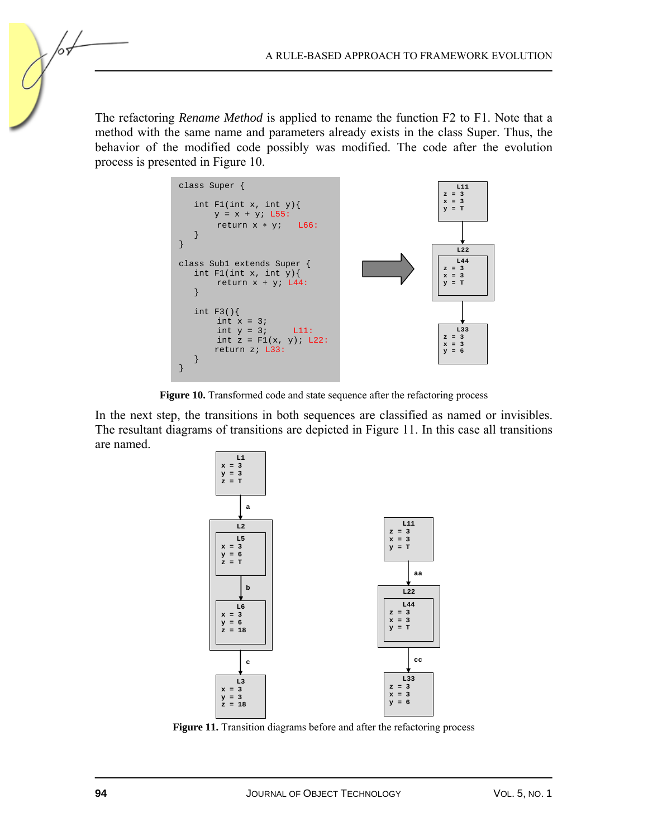The refactoring *Rename Method* is applied to rename the function F2 to F1. Note that a method with the same name and parameters already exists in the class Super. Thus, the behavior of the modified code possibly was modified. The code after the evolution process is presented in Figure 10.

| class Super $\{$<br>int $F1(int x, int y)$<br>$y = x + yi$ L55:<br>return $x * yi$ $L66$ :      | L11<br>$z = 3$<br>$x = 3$<br>$V = T$        |
|-------------------------------------------------------------------------------------------------|---------------------------------------------|
| class Subl extends Super $\{$<br>int $F1(int x, int y)$<br>return $x + y$ ; L44:                | L22<br>L44<br>$z = 3$<br>$x = 3$<br>$y = T$ |
| int $F3()$<br>int $x = 3i$<br>int $y = 3$ ; L11:<br>int $z = F1(x, y)$ ; L22:<br>return z; L33: | L33<br>$z = 3$<br>$x = 3$<br>$y = 6$        |

Figure 10. Transformed code and state sequence after the refactoring process

In the next step, the transitions in both sequences are classified as named or invisibles. The resultant diagrams of transitions are depicted in Figure 11. In this case all transitions are named.



Figure 11. Transition diagrams before and after the refactoring process

/оъ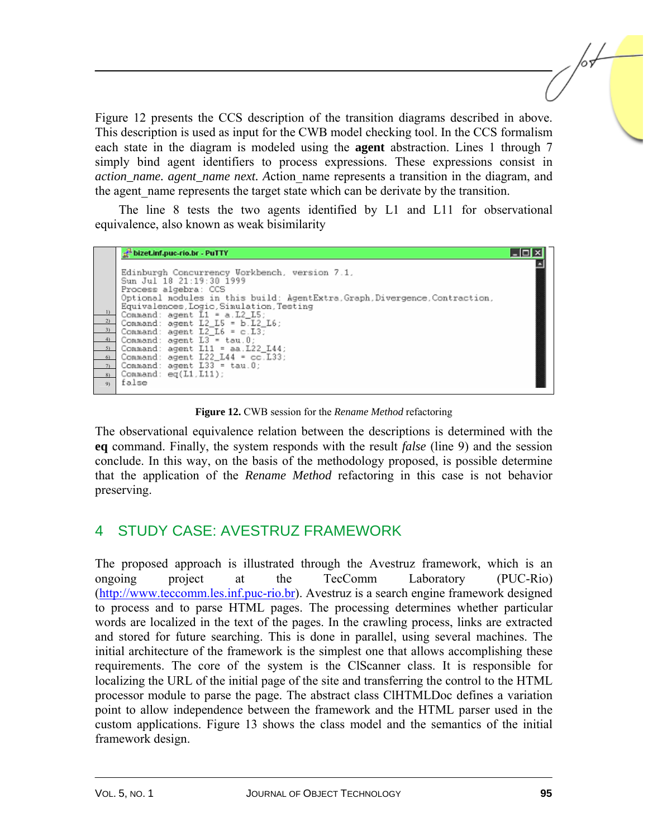Figure 12 presents the CCS description of the transition diagrams described in above. This description is used as input for the CWB model checking tool. In the CCS formalism each state in the diagram is modeled using the **agent** abstraction. Lines 1 through 7 simply bind agent identifiers to process expressions. These expressions consist in *action\_name. agent\_name next. A*ction\_name represents a transition in the diagram, and the agent name represents the target state which can be derivate by the transition.

The line 8 tests the two agents identified by L1 and L11 for observational equivalence, also known as weak bisimilarity



**Figure 12.** CWB session for the *Rename Method* refactoring

The observational equivalence relation between the descriptions is determined with the **eq** command. Finally, the system responds with the result *false* (line 9) and the session conclude. In this way, on the basis of the methodology proposed, is possible determine that the application of the *Rename Method* refactoring in this case is not behavior preserving.

## 4 STUDY CASE: AVESTRUZ FRAMEWORK

The proposed approach is illustrated through the Avestruz framework, which is an ongoing project at the TecComm Laboratory (PUC-Rio) [\(http://www.teccomm.les.inf.puc-rio.br\). A](http://www.teccomm.les.inf.puc-rio.br)vestruz is a search engine framework designed to process and to parse HTML pages. The processing determines whether particular words are localized in the text of the pages. In the crawling process, links are extracted and stored for future searching. This is done in parallel, using several machines. The initial architecture of the framework is the simplest one that allows accomplishing these requirements. The core of the system is the ClScanner class. It is responsible for localizing the URL of the initial page of the site and transferring the control to the HTML processor module to parse the page. The abstract class ClHTMLDoc defines a variation point to allow independence between the framework and the HTML parser used in the custom applications. Figure 13 shows the class model and the semantics of the initial framework design.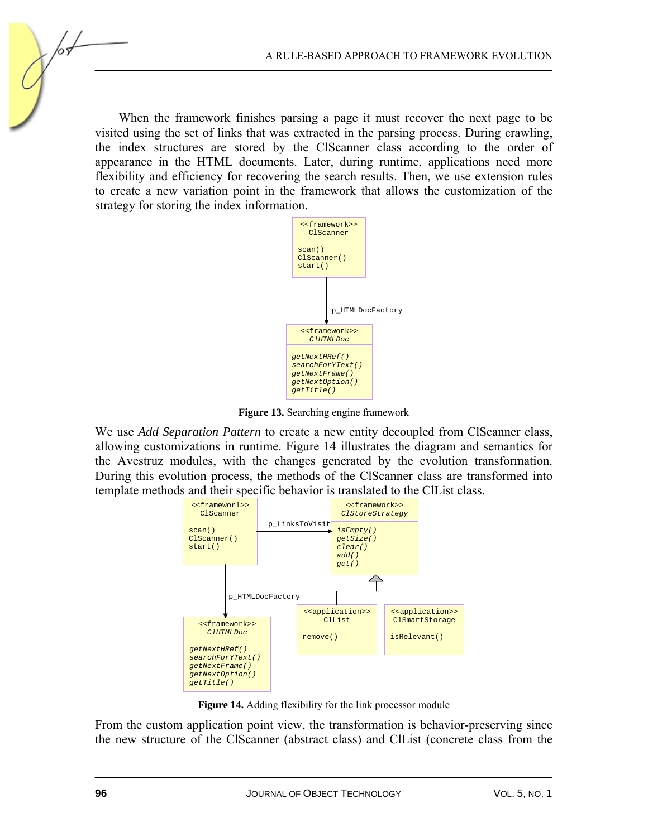When the framework finishes parsing a page it must recover the next page to be visited using the set of links that was extracted in the parsing process. During crawling, the index structures are stored by the ClScanner class according to the order of appearance in the HTML documents. Later, during runtime, applications need more flexibility and efficiency for recovering the search results. Then, we use extension rules to create a new variation point in the framework that allows the customization of the strategy for storing the index information.



**Figure 13.** Searching engine framework

We use *Add Separation Pattern* to create a new entity decoupled from ClScanner class, allowing customizations in runtime. Figure 14 illustrates the diagram and semantics for the Avestruz modules, with the changes generated by the evolution transformation. During this evolution process, the methods of the ClScanner class are transformed into template methods and their specific behavior is translated to the ClList class.



**Figure 14.** Adding flexibility for the link processor module

From the custom application point view, the transformation is behavior-preserving since the new structure of the ClScanner (abstract class) and ClList (concrete class from the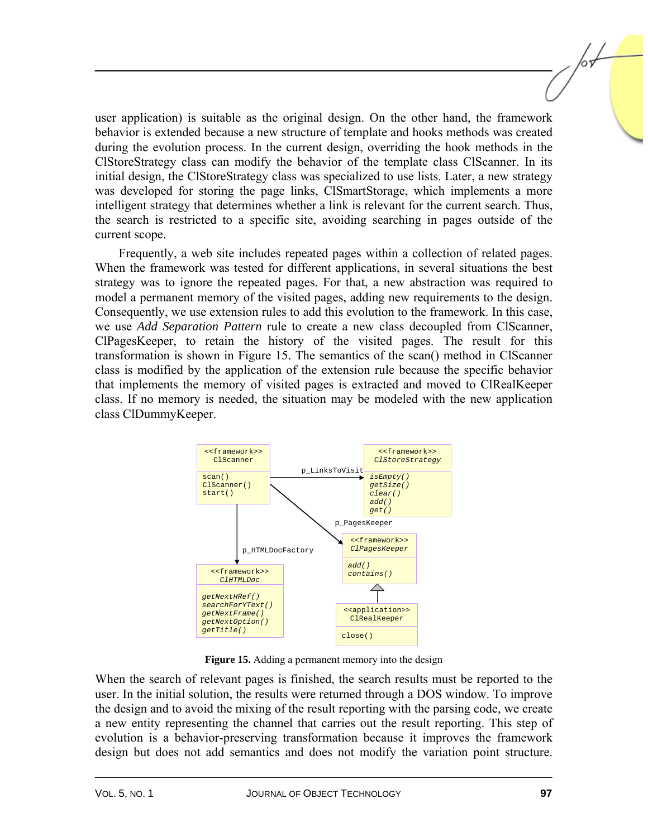user application) is suitable as the original design. On the other hand, the framework behavior is extended because a new structure of template and hooks methods was created during the evolution process. In the current design, overriding the hook methods in the ClStoreStrategy class can modify the behavior of the template class ClScanner. In its initial design, the ClStoreStrategy class was specialized to use lists. Later, a new strategy was developed for storing the page links, ClSmartStorage, which implements a more intelligent strategy that determines whether a link is relevant for the current search. Thus, the search is restricted to a specific site, avoiding searching in pages outside of the current scope.

Frequently, a web site includes repeated pages within a collection of related pages. When the framework was tested for different applications, in several situations the best strategy was to ignore the repeated pages. For that, a new abstraction was required to model a permanent memory of the visited pages, adding new requirements to the design. Consequently, we use extension rules to add this evolution to the framework. In this case, we use *Add Separation Pattern* rule to create a new class decoupled from ClScanner, ClPagesKeeper, to retain the history of the visited pages. The result for this transformation is shown in Figure 15. The semantics of the scan() method in ClScanner class is modified by the application of the extension rule because the specific behavior that implements the memory of visited pages is extracted and moved to ClRealKeeper class. If no memory is needed, the situation may be modeled with the new application class ClDummyKeeper.



**Figure 15.** Adding a permanent memory into the design

When the search of relevant pages is finished, the search results must be reported to the user. In the initial solution, the results were returned through a DOS window. To improve the design and to avoid the mixing of the result reporting with the parsing code, we create a new entity representing the channel that carries out the result reporting. This step of evolution is a behavior-preserving transformation because it improves the framework design but does not add semantics and does not modify the variation point structure.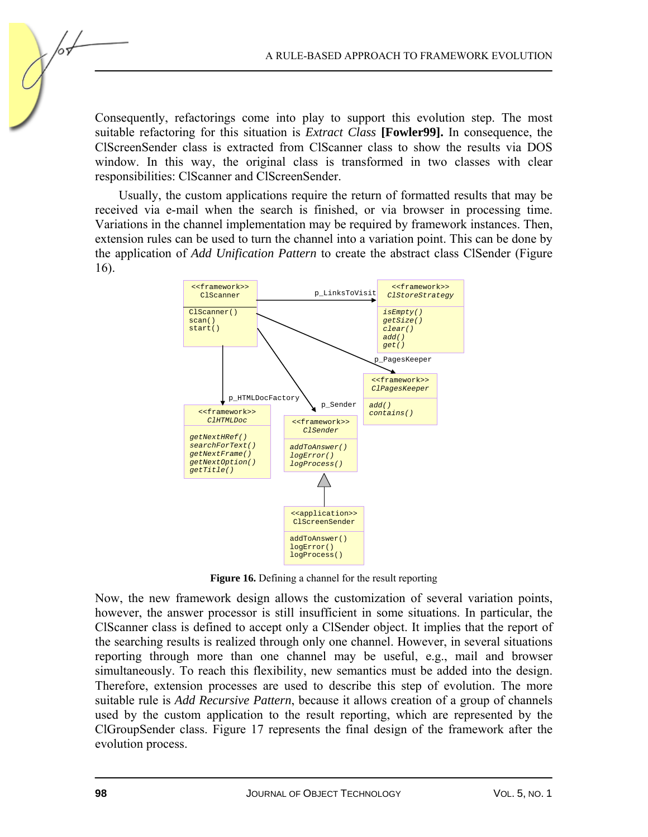Consequently, refactorings come into play to support this evolution step. The most suitable refactoring for this situation is *Extract Class* **[Fowler99].** In consequence, the ClScreenSender class is extracted from ClScanner class to show the results via DOS window. In this way, the original class is transformed in two classes with clear responsibilities: ClScanner and ClScreenSender.

Usually, the custom applications require the return of formatted results that may be received via e-mail when the search is finished, or via browser in processing time. Variations in the channel implementation may be required by framework instances. Then, extension rules can be used to turn the channel into a variation point. This can be done by the application of *Add Unification Pattern* to create the abstract class ClSender (Figure 16).



**Figure 16.** Defining a channel for the result reporting

Now, the new framework design allows the customization of several variation points, however, the answer processor is still insufficient in some situations. In particular, the ClScanner class is defined to accept only a ClSender object. It implies that the report of the searching results is realized through only one channel. However, in several situations reporting through more than one channel may be useful, e.g., mail and browser simultaneously. To reach this flexibility, new semantics must be added into the design. Therefore, extension processes are used to describe this step of evolution. The more suitable rule is *Add Recursive Pattern*, because it allows creation of a group of channels used by the custom application to the result reporting, which are represented by the ClGroupSender class. Figure 17 represents the final design of the framework after the evolution process.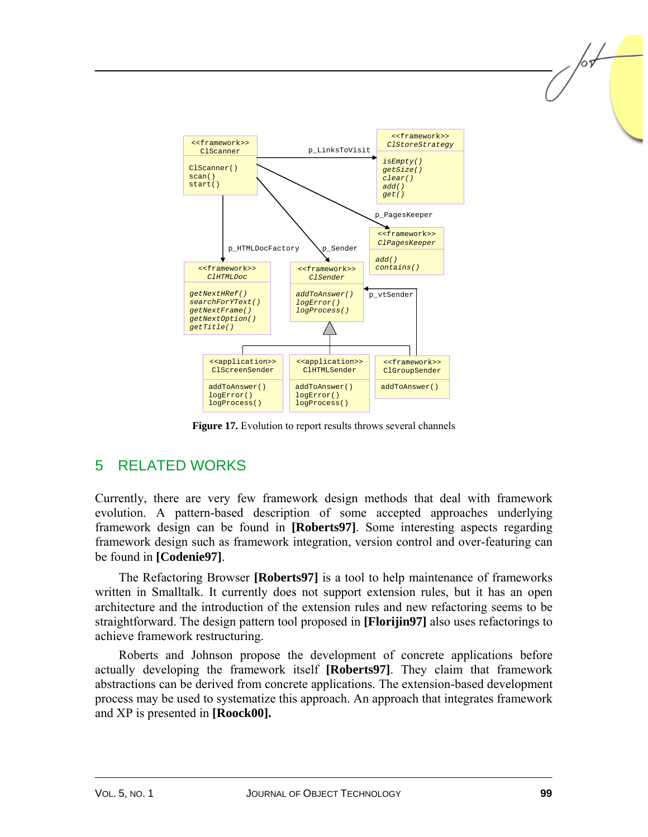

**Figure 17.** Evolution to report results throws several channels

## 5 RELATED WORKS

Currently, there are very few framework design methods that deal with framework evolution. A pattern-based description of some accepted approaches underlying framework design can be found in **[Roberts97]**. Some interesting aspects regarding framework design such as framework integration, version control and over-featuring can be found in **[Codenie97]**.

The Refactoring Browser **[Roberts97]** is a tool to help maintenance of frameworks written in Smalltalk. It currently does not support extension rules, but it has an open architecture and the introduction of the extension rules and new refactoring seems to be straightforward. The design pattern tool proposed in **[Florijin97]** also uses refactorings to achieve framework restructuring.

Roberts and Johnson propose the development of concrete applications before actually developing the framework itself **[Roberts97]**. They claim that framework abstractions can be derived from concrete applications. The extension-based development process may be used to systematize this approach. An approach that integrates framework and XP is presented in **[Roock00].**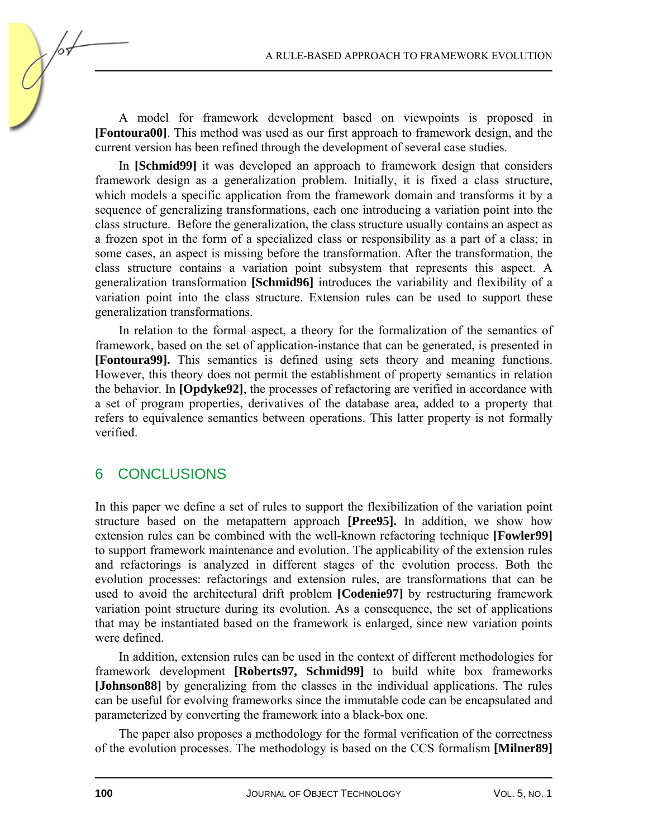A model for framework development based on viewpoints is proposed in **[Fontoura00]**. This method was used as our first approach to framework design, and the current version has been refined through the development of several case studies.

In **[Schmid99]** it was developed an approach to framework design that considers framework design as a generalization problem. Initially, it is fixed a class structure, which models a specific application from the framework domain and transforms it by a sequence of generalizing transformations, each one introducing a variation point into the class structure. Before the generalization, the class structure usually contains an aspect as a frozen spot in the form of a specialized class or responsibility as a part of a class; in some cases, an aspect is missing before the transformation. After the transformation, the class structure contains a variation point subsystem that represents this aspect. A generalization transformation **[Schmid96]** introduces the variability and flexibility of a variation point into the class structure. Extension rules can be used to support these generalization transformations.

In relation to the formal aspect, a theory for the formalization of the semantics of framework, based on the set of application-instance that can be generated, is presented in **[Fontoura99].** This semantics is defined using sets theory and meaning functions. However, this theory does not permit the establishment of property semantics in relation the behavior. In **[Opdyke92]**, the processes of refactoring are verified in accordance with a set of program properties, derivatives of the database area, added to a property that refers to equivalence semantics between operations. This latter property is not formally verified.

#### 6 CONCLUSIONS

In this paper we define a set of rules to support the flexibilization of the variation point structure based on the metapattern approach **[Pree95].** In addition, we show how extension rules can be combined with the well-known refactoring technique **[Fowler99]**  to support framework maintenance and evolution. The applicability of the extension rules and refactorings is analyzed in different stages of the evolution process. Both the evolution processes: refactorings and extension rules, are transformations that can be used to avoid the architectural drift problem **[Codenie97]** by restructuring framework variation point structure during its evolution. As a consequence, the set of applications that may be instantiated based on the framework is enlarged, since new variation points were defined.

In addition, extension rules can be used in the context of different methodologies for framework development **[Roberts97, Schmid99]** to build white box frameworks **[Johnson88]** by generalizing from the classes in the individual applications. The rules can be useful for evolving frameworks since the immutable code can be encapsulated and parameterized by converting the framework into a black-box one.

The paper also proposes a methodology for the formal verification of the correctness of the evolution processes. The methodology is based on the CCS formalism **[Milner89]**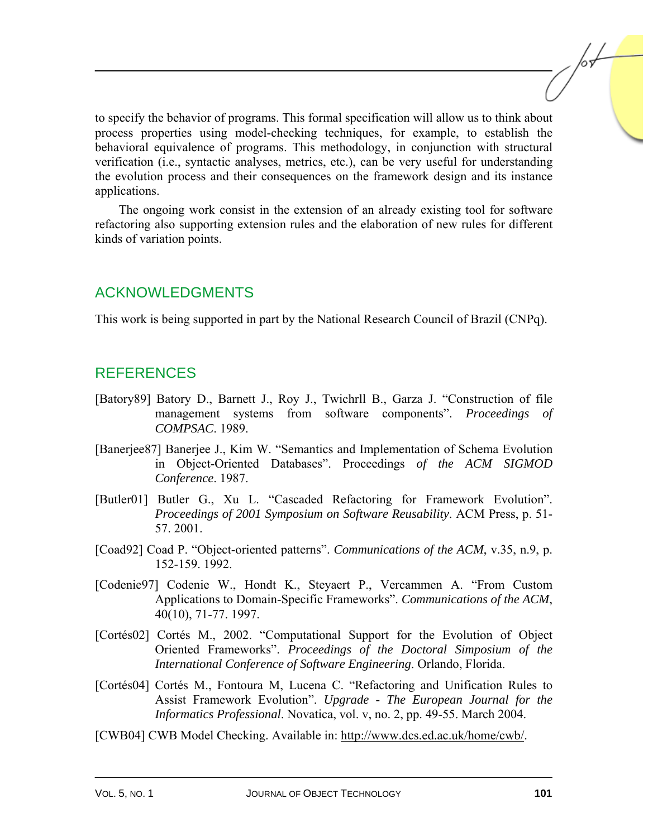to specify the behavior of programs. This formal specification will allow us to think about process properties using model-checking techniques, for example, to establish the behavioral equivalence of programs. This methodology, in conjunction with structural verification (i.e., syntactic analyses, metrics, etc.), can be very useful for understanding the evolution process and their consequences on the framework design and its instance applications.

The ongoing work consist in the extension of an already existing tool for software refactoring also supporting extension rules and the elaboration of new rules for different kinds of variation points.

## ACKNOWLEDGMENTS

This work is being supported in part by the National Research Council of Brazil (CNPq).

## REFERENCES

- [Batory89] Batory D., Barnett J., Roy J., Twichrll B., Garza J. "Construction of file management systems from software components". *Proceedings of COMPSAC*. 1989.
- [Banerjee87] Banerjee J., Kim W. "Semantics and Implementation of Schema Evolution in Object-Oriented Databases". Proceedings *of the ACM SIGMOD Conference*. 1987.
- [Butler01] Butler G., Xu L. "Cascaded Refactoring for Framework Evolution". *Proceedings of 2001 Symposium on Software Reusability*. ACM Press, p. 51- 57. 2001.
- [Coad92] Coad P. "Object-oriented patterns". *Communications of the ACM*, v.35, n.9, p. 152-159. 1992.
- [Codenie97] Codenie W., Hondt K., Steyaert P., Vercammen A. "From Custom Applications to Domain-Specific Frameworks". *Communications of the ACM*, 40(10), 71-77. 1997.
- [Cortés02] Cortés M., 2002. "Computational Support for the Evolution of Object Oriented Frameworks". *Proceedings of the Doctoral Simposium of the International Conference of Software Engineering*. Orlando, Florida.
- [Cortés04] Cortés M., Fontoura M, Lucena C. "Refactoring and Unification Rules to Assist Framework Evolution". *Upgrade - The European Journal for the Informatics Professional*. Novatica, vol. v, no. 2, pp. 49-55. March 2004.
- [CWB04] CWB Model Checking. Available in[: http://www.dcs.ed.ac.uk/home/cwb/.](http://www.dcs.ed.ac.uk/home/cwb/)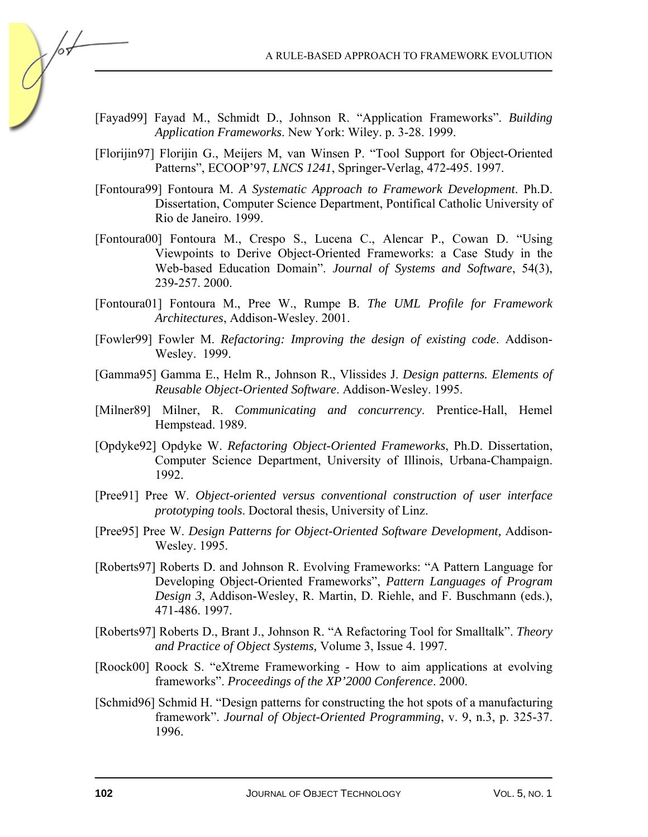A RULE-BASED APPROACH TO FRAMEWORK EVOLUTION

- [Fayad99] Fayad M., Schmidt D., Johnson R. "Application Frameworks". *Building Application Frameworks*. New York: Wiley. p. 3-28. 1999.
- [Florijin97] Florijin G., Meijers M, van Winsen P. "Tool Support for Object-Oriented Patterns", ECOOP'97, *LNCS 1241*, Springer-Verlag, 472-495. 1997.
- [Fontoura99] Fontoura M. *A Systematic Approach to Framework Development*. Ph.D. Dissertation, Computer Science Department, Pontifical Catholic University of Rio de Janeiro. 1999.
- [Fontoura00] Fontoura M., Crespo S., Lucena C., Alencar P., Cowan D. "Using Viewpoints to Derive Object-Oriented Frameworks: a Case Study in the Web-based Education Domain". *Journal of Systems and Software*, 54(3), 239-257. 2000.
- [Fontoura01] Fontoura M., Pree W., Rumpe B. *The UML Profile for Framework Architectures*, Addison-Wesley. 2001.
- [Fowler99] Fowler M. *Refactoring: Improving the design of existing code*. Addison-Wesley. 1999.
- [Gamma95] Gamma E., Helm R., Johnson R., Vlissides J. *Design patterns. Elements of Reusable Object-Oriented Software*. Addison-Wesley. 1995.
- [Milner89] Milner, R. *Communicating and concurrency*. Prentice-Hall, Hemel Hempstead. 1989.
- [Opdyke92] Opdyke W. *Refactoring Object-Oriented Frameworks*, Ph.D. Dissertation, Computer Science Department, University of Illinois, Urbana-Champaign. 1992.
- [Pree91] Pree W. *Object-oriented versus conventional construction of user interface prototyping tools*. Doctoral thesis, University of Linz.
- [Pree95] Pree W. *Design Patterns for Object-Oriented Software Development,* Addison-Wesley. 1995.
- [Roberts97] Roberts D. and Johnson R. Evolving Frameworks: "A Pattern Language for Developing Object-Oriented Frameworks", *Pattern Languages of Program Design 3*, Addison-Wesley, R. Martin, D. Riehle, and F. Buschmann (eds.), 471-486. 1997.
- [Roberts97] Roberts D., Brant J., Johnson R. "A Refactoring Tool for Smalltalk". *Theory and Practice of Object Systems,* Volume 3, Issue 4. 1997.
- [Roock00] Roock S. "eXtreme Frameworking How to aim applications at evolving frameworks". *Proceedings of the XP'2000 Conference*. 2000.
- [Schmid96] Schmid H. "Design patterns for constructing the hot spots of a manufacturing framework". *Journal of Object-Oriented Programming*, v. 9, n.3, p. 325-37. 1996.

/or